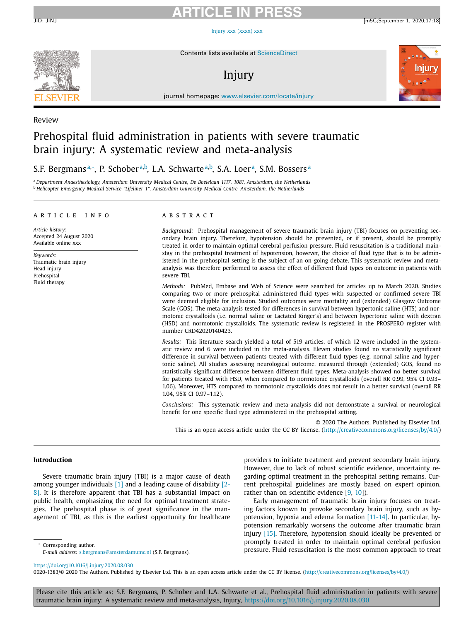# **ARTICLE IN PRESS**

JID: JINJ [m5G;September 1, 2020;17:18]

Injury xxx [\(xxxx\)](https://doi.org/10.1016/j.injury.2020.08.030) xxx



Contents lists available at [ScienceDirect](http://www.ScienceDirect.com)

# Injury



journal homepage: [www.elsevier.com/locate/injury](http://www.elsevier.com/locate/injury)

#### Review

# Prehospital fluid administration in patients with severe traumatic brain injury: A systematic review and meta-analysis

S.F. Bergmansª,\*, P. Schoberª,b, L.A. Schwarteª,b, S.A. Loerª, S.M. Bossersª

<sup>a</sup> *Department Anaesthesiology, Amsterdam University Medical Centre, De Boelelaan 1117, 1081, Amsterdam, the Netherlands* <sup>b</sup> *Helicopter Emergency Medical Service "Lifeliner 1", Amsterdam University Medical Centre, Amsterdam, the Netherlands*

#### a r t i c l e i n f o

*Article history:* Accepted 24 August 2020 Available online xxx

*Keywords:* Traumatic brain injury Head injury Prehospital Fluid therapy

#### A B S T R A C T

*Background:* Prehospital management of severe traumatic brain injury (TBI) focuses on preventing secondary brain injury. Therefore, hypotension should be prevented, or if present, should be promptly treated in order to maintain optimal cerebral perfusion pressure. Fluid resuscitation is a traditional mainstay in the prehospital treatment of hypotension, however, the choice of fluid type that is to be administered in the prehospital setting is the subject of an on-going debate. This systematic review and metaanalysis was therefore performed to assess the effect of different fluid types on outcome in patients with severe TBI.

*Methods:* PubMed, Embase and Web of Science were searched for articles up to March 2020. Studies comparing two or more prehospital administered fluid types with suspected or confirmed severe TBI were deemed eligible for inclusion. Studied outcomes were mortality and (extended) Glasgow Outcome Scale (GOS). The meta-analysis tested for differences in survival between hypertonic saline (HTS) and normotonic crystalloids (i.e. normal saline or Lactated Ringer's) and between hypertonic saline with dextran (HSD) and normotonic crystalloids. The systematic review is registered in the PROSPERO register with number CRD42020140423.

*Results:* This literature search yielded a total of 519 articles, of which 12 were included in the systematic review and 6 were included in the meta-analysis. Eleven studies found no statistically significant difference in survival between patients treated with different fluid types (e.g. normal saline and hypertonic saline). All studies assessing neurological outcome, measured through (extended) GOS, found no statistically significant difference between different fluid types. Meta-analysis showed no better survival for patients treated with HSD, when compared to normotonic crystalloids (overall RR 0.99, 95% CI 0.93– 1.06). Moreover, HTS compared to normotonic crystalloids does not result in a better survival (overall RR 1.04, 95% CI 0.97–1.12).

*Conclusions:* This systematic review and meta-analysis did not demonstrate a survival or neurological benefit for one specific fluid type administered in the prehospital setting.

© 2020 The Authors. Published by Elsevier Ltd. This is an open access article under the CC BY license. [\(http://creativecommons.org/licenses/by/4.0/\)](http://creativecommons.org/licenses/by/4.0/)

#### **Introduction**

Severe traumatic brain injury (TBI) is a major cause of death among younger [individuals](#page-9-0) [\[1\]](#page-9-0) and a leading cause of disability [2- 8]. It is therefore apparent that TBI has a substantial impact on public health, emphasizing the need for optimal treatment strategies. The prehospital phase is of great significance in the management of TBI, as this is the earliest opportunity for healthcare

providers to initiate treatment and prevent secondary brain injury. However, due to lack of robust scientific evidence, uncertainty regarding optimal treatment in the prehospital setting remains. Current prehospital guidelines are mostly based on expert opinion, rather than on scientific evidence [\[9,](#page-10-0) [10\]](#page-10-0)).

Early management of traumatic brain injury focuses on treating factors known to provoke secondary brain injury, such as hypotension, hypoxia and edema formation [\[11-14\].](#page-10-0) In particular, hypotension remarkably worsens the outcome after traumatic brain injury [\[15\].](#page-10-0) Therefore, hypotension should ideally be prevented or promptly treated in order to maintain optimal cerebral perfusion pressure. Fluid resuscitation is the most common approach to treat

Corresponding author.

<https://doi.org/10.1016/j.injury.2020.08.030>

0020-1383/© 2020 The Authors. Published by Elsevier Ltd. This is an open access article under the CC BY license. [\(http://creativecommons.org/licenses/by/4.0/\)](http://creativecommons.org/licenses/by/4.0/)

*E-mail address:* [s.bergmans@amsterdamumc.nl](mailto:s.bergmans@amsterdamumc.nl) (S.F. Bergmans).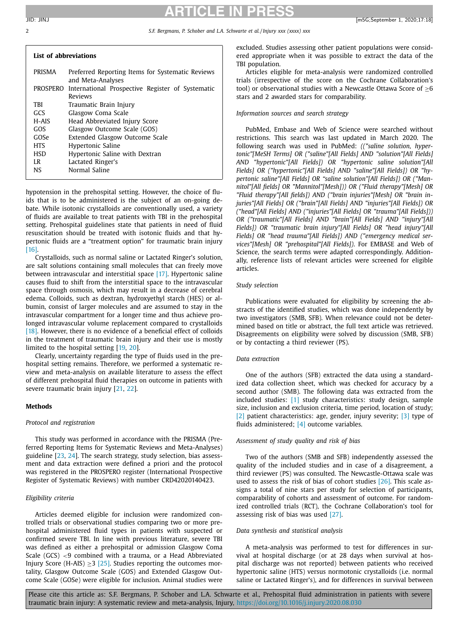| List of abbreviations |                                                           |
|-----------------------|-----------------------------------------------------------|
| PRISMA                | Preferred Reporting Items for Systematic Reviews          |
|                       | and Meta-Analyses                                         |
|                       | DDOCDEDO International Dreapertive Degister of Cystematic |

|            | PROSPERO International Prospective Register of Systematic |
|------------|-----------------------------------------------------------|
|            | <b>Reviews</b>                                            |
| TBI        | Traumatic Brain Injury                                    |
| GCS        | Glasgow Coma Scale                                        |
| H-AIS      | Head Abbreviated Injury Score                             |
| GOS        | Glasgow Outcome Scale (GOS)                               |
| GOSe       | Extended Glasgow Outcome Scale                            |
| <b>HTS</b> | Hypertonic Saline                                         |
| HSD        | Hypertonic Saline with Dextran                            |
| LR         | Lactated Ringer's                                         |
| NS         | Normal Saline                                             |

hypotension in the prehospital setting. However, the choice of fluids that is to be administered is the subject of an on-going debate. While isotonic crystalloids are conventionally used, a variety of fluids are available to treat patients with TBI in the prehospital setting. Prehospital guidelines state that patients in need of fluid resuscitation should be treated with isotonic fluids and that hypertonic fluids are a "treatment option" for traumatic brain injury [\[16\].](#page-10-0)

Crystalloids, such as normal saline or Lactated Ringer's solution, are salt solutions containing small molecules that can freely move between intravascular and interstitial space [\[17\].](#page-10-0) Hypertonic saline causes fluid to shift from the interstitial space to the intravascular space through osmosis, which may result in a decrease of cerebral edema. Colloids, such as dextran, hydroxyethyl starch (HES) or albumin, consist of larger molecules and are assumed to stay in the intravascular compartment for a longer time and thus achieve prolonged intravascular volume replacement compared to crystalloids [\[18\].](#page-10-0) However, there is no evidence of a beneficial effect of colloids in the treatment of traumatic brain injury and their use is mostly limited to the hospital setting [\[19,](#page-10-0) [20\]](#page-10-0).

Clearly, uncertainty regarding the type of fluids used in the prehospital setting remains. Therefore, we performed a systematic review and meta-analysis on available literature to assess the effect of different prehospital fluid therapies on outcome in patients with severe traumatic brain injury [\[21,](#page-10-0) [22\]](#page-10-0).

# **Methods**

## *Protocol and registration*

This study was performed in accordance with the PRISMA (Preferred Reporting Items for Systematic Reviews and Meta-Analyses) guideline [\[23,](#page-10-0) [24\]](#page-10-0). The search strategy, study selection, bias assessment and data extraction were defined a priori and the protocol was registered in the PROSPERO register (International Prospective Register of Systematic Reviews) with number CRD42020140423.

## *Eligibility criteria*

Articles deemed eligible for inclusion were randomized controlled trials or observational studies comparing two or more prehospital administered fluid types in patients with suspected or confirmed severe TBI. In line with previous literature, severe TBI was defined as either a prehospital or admission Glasgow Coma Scale (GCS) <9 combined with a trauma, or a Head Abbreviated Injury Score (H-AIS)  $\geq$ 3 [\[25\].](#page-10-0) Studies reporting the outcomes mortality, Glasgow Outcome Scale (GOS) and Extended Glasgow Outcome Scale (GOSe) were eligible for inclusion. Animal studies were excluded. Studies assessing other patient populations were considered appropriate when it was possible to extract the data of the TBI population.

Articles eligible for meta-analysis were randomized controlled trials (irrespective of the score on the Cochrane Collaboration's tool) or observational studies with a Newcastle Ottawa Score of  $\geq 6$ stars and 2 awarded stars for comparability.

## *Information sources and search strategy*

PubMed, Embase and Web of Science were searched without restrictions. This search was last updated in March 2020. The following search was used in PubMed: *(("saline solution, hypertonic"[MeSH Terms] OR ("saline"[All Fields] AND "solution"[All Fields] AND "hypertonic"[All Fields]) OR "hypertonic saline solution"[All Fields] OR ("hypertonic"[All Fields] AND "saline"[All Fields]) OR "hypertonic saline"[All Fields] OR "saline solution"[All Fields]) OR ("Mannitol"[All fields] OR "Mannitol"[Mesh])) OR ("Fluid therapy"[Mesh] OR "Fluid therapy"[All fields]) AND ("brain injuries"[Mesh] OR "brain injuries"[All Fields] OR ("brain"[All Fields] AND "injuries"[All Fields]) OR ("head"[All Fields] AND ("injuries"[All Fields] OR "trauma"[All Fields])) OR ("traumatic"[All Fields] AND "brain"[All Fields] AND "injury"[All Fields]) OR "traumatic brain injury"[All Fields] OR "head injury"[All Fields] OR "head trauma"[All Fields]) AND ("emergency medical services"[Mesh] OR "prehospital"[All Fields])*. For EMBASE and Web of Science, the search terms were adapted correspondingly. Additionally, reference lists of relevant articles were screened for eligible articles.

#### *Study selection*

Publications were evaluated for eligibility by screening the abstracts of the identified studies, which was done independently by two investigators (SMB, SFB). When relevance could not be determined based on title or abstract, the full text article was retrieved. Disagreements on eligibility were solved by discussion (SMB, SFB) or by contacting a third reviewer (PS).

### *Data extraction*

One of the authors (SFB) extracted the data using a standardized data collection sheet, which was checked for accuracy by a second author (SMB). The following data was extracted from the included studies: [\[1\]](#page-9-0) study characteristics: study design, sample size, inclusion and exclusion criteria, time period, location of study; [\[2\]](#page-9-0) patient characteristics: age, gender, injury severity; [\[3\]](#page-10-0) type of fluids administered; [\[4\]](#page-10-0) outcome variables.

### *Assessment of study quality and risk of bias*

Two of the authors (SMB and SFB) independently assessed the quality of the included studies and in case of a disagreement, a third reviewer (PS) was consulted. The Newcastle-Ottawa scale was used to assess the risk of bias of cohort studies [\[26\].](#page-10-0) This scale assigns a total of nine stars per study for selection of participants, comparability of cohorts and assessment of outcome. For randomized controlled trials (RCT), the Cochrane Collaboration's tool for assessing risk of bias was used [\[27\].](#page-10-0)

#### *Data synthesis and statistical analysis*

A meta-analysis was performed to test for differences in survival at hospital discharge (or at 28 days when survival at hospital discharge was not reported) between patients who received hypertonic saline (HTS) versus normotonic crystalloids (i.e. normal saline or Lactated Ringer's), and for differences in survival between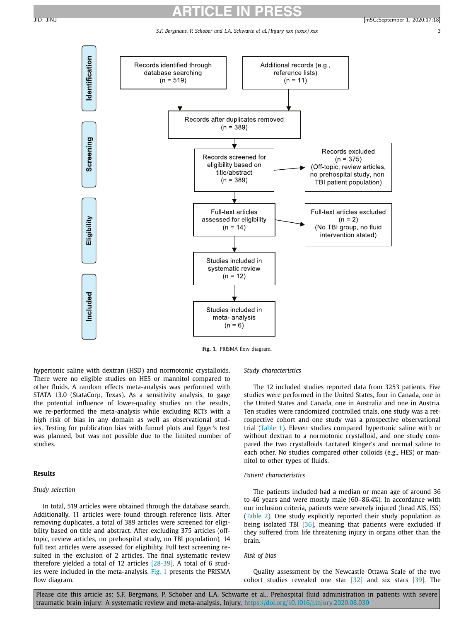*S.F. Bergmans, P. Schober and L.A. Schwarte et al. / Injury xxx (xxxx) xxx* 3



**Fig. 1.** PRISMA flow diagram.

hypertonic saline with dextran (HSD) and normotonic crystalloids. There were no eligible studies on HES or mannitol compared to other fluids. A random effects meta-analysis was performed with STATA 13.0 (StataCorp, Texas). As a sensitivity analysis, to gage the potential influence of lower-quality studies on the results, we re-performed the meta-analysis while excluding RCTs with a high risk of bias in any domain as well as observational studies. Testing for publication bias with funnel plots and Egger's test was planned, but was not possible due to the limited number of studies.

### **Results**

# *Study selection*

In total, 519 articles were obtained through the database search. Additionally, 11 articles were found through reference lists. After removing duplicates, a total of 389 articles were screened for eligibility based on title and abstract. After excluding 375 articles (offtopic, review articles, no prehospital study, no TBI population), 14 full text articles were assessed for eligibility. Full text screening resulted in the exclusion of 2 articles. The final systematic review therefore yielded a total of 12 articles [\[28-39\].](#page-10-0) A total of 6 studies were included in the meta-analysis. Fig. 1 presents the PRISMA flow diagram.

### *Study characteristics*

The 12 included studies reported data from 3253 patients. Five studies were performed in the United States, four in Canada, one in the United States and Canada, one in Australia and one in Austria. Ten studies were randomized controlled trials, one study was a retrospective cohort and one study was a prospective observational trial [\(Table](#page-3-0) 1). Eleven studies compared hypertonic saline with or without dextran to a normotonic crystalloid, and one study compared the two crystalloids Lactated Ringer's and normal saline to each other. No studies compared other colloids (e.g., HES) or mannitol to other types of fluids.

### *Patient characteristics*

The patients included had a median or mean age of around 36 to 46 years and were mostly male (60–86.4%). In accordance with our inclusion criteria, patients were severely injured (head AIS, ISS) [\(Table](#page-4-0) 2). One study explicitly reported their study population as being isolated TBI [\[36\],](#page-10-0) meaning that patients were excluded if they suffered from life threatening injury in organs other than the brain.

#### *Risk of bias*

Quality assessment by the Newcastle Ottawa Scale of the two cohort studies revealed one star [\[32\]](#page-10-0) and six stars [\[39\].](#page-10-0) The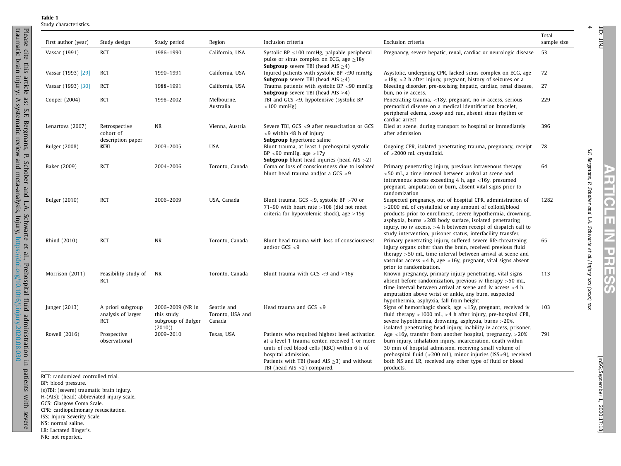|--|--|

Please

cite this

article

as: S.F.

Bergmans,

<span id="page-3-0"></span>traumatic brain injury: A systematic review and meta-analysis, Injury,

P.

Schober

and L.A.

Schwarte

 $\mathbf{G}$ al.,

Prehospital

fluid

<https://doi.org/10.1016/j.injury.2020.08.030>

administration

in

patients

with

severe

| First author (year)  | Study design                                          | Study period                                                    | Region                                    | Inclusion criteria                                                                                                                                                                                                                                                | Exclusion criteria                                                                                                                                                                                                                                                                                                                                                                     | Total<br>sample size |
|----------------------|-------------------------------------------------------|-----------------------------------------------------------------|-------------------------------------------|-------------------------------------------------------------------------------------------------------------------------------------------------------------------------------------------------------------------------------------------------------------------|----------------------------------------------------------------------------------------------------------------------------------------------------------------------------------------------------------------------------------------------------------------------------------------------------------------------------------------------------------------------------------------|----------------------|
| Vassar (1991)        | <b>RCT</b>                                            | 1986-1990                                                       | California, USA                           | Systolic BP $\leq$ 100 mmHg, palpable peripheral<br>pulse or sinus complex on ECG, age $\geq$ 18y<br><b>Subgroup</b> severe TBI (head AIS $\geq$ 4)                                                                                                               | Pregnancy, severe hepatic, renal, cardiac or neurologic disease                                                                                                                                                                                                                                                                                                                        | 53                   |
| Vassar (1993) [29]   | <b>RCT</b>                                            | 1990-1991                                                       | California, USA                           | Injured patients with systolic BP $<$ 90 mmHg<br><b>Subgroup</b> severe TBI (head AIS $\geq$ 4)                                                                                                                                                                   | Asystolic, undergoing CPR, lacked sinus complex on ECG, age<br>$\langle 18y, \rangle$ > 2 h after injury, pregnant, history of seizures or a                                                                                                                                                                                                                                           | 72                   |
| Vassar (1993) [30]   | <b>RCT</b>                                            | 1988-1991                                                       | California, USA                           | Trauma patients with systolic BP <90 mmHg<br><b>Subgroup</b> severe TBI (head AIS $\geq$ 4)                                                                                                                                                                       | bleeding disorder, pre-excising hepatic, cardiac, renal disease,<br>bun, no iv access.                                                                                                                                                                                                                                                                                                 | 27                   |
| Cooper (2004)        | <b>RCT</b>                                            | 1998-2002                                                       | Melbourne,<br>Australia                   | TBI and GCS $\leq$ 9, hypotensive (systolic BP<br>$<$ 100 mmHg)                                                                                                                                                                                                   | Penetrating trauma, $\langle 18y,$ pregnant, no iv access, serious<br>premorbid disease on a medical identification bracelet,<br>peripheral edema, scoop and run, absent sinus rhythm or<br>cardiac arrest                                                                                                                                                                             | 229                  |
| Lenartova (2007)     | Retrospective<br>cohort of<br>description paper       | <b>NR</b>                                                       | Vienna, Austria                           | Severe TBI, GCS <9 after resuscitation or GCS<br>$<$ 9 within 48 h of injury<br>Subgroup hypertonic saline                                                                                                                                                        | Died at scene, during transport to hospital or immediately<br>after admission                                                                                                                                                                                                                                                                                                          | 396                  |
| <b>Bulger</b> (2008) | RCBI                                                  | 2003-2005                                                       | <b>USA</b>                                | Blunt trauma, at least 1 prehospital systolic<br>$BP < 90$ mmHg, age $>17y$<br><b>Subgroup</b> blunt head injuries (head $AIS > 2$ )                                                                                                                              | Ongoing CPR, isolated penetrating trauma, pregnancy, receipt<br>of $>$ 2000 mL crystalloid.                                                                                                                                                                                                                                                                                            | 78                   |
| Baker (2009)         | <b>RCT</b>                                            | 2004-2006                                                       | Toronto, Canada                           | Coma or loss of consciousness due to isolated<br>blunt head trauma and/or a GCS $<$ 9                                                                                                                                                                             | Primary penetrating injury, previous intravenous therapy<br>$>50$ mL, a time interval between arrival at scene and<br>intravenous access exceeding $4$ h, age <16y, presumed<br>pregnant, amputation or burn, absent vital signs prior to<br>randomization                                                                                                                             | 64                   |
| <b>Bulger</b> (2010) | <b>RCT</b>                                            | 2006-2009                                                       | USA, Canada                               | Blunt trauma, GCS <9, systolic BP > 70 or<br>71-90 with heart rate $>108$ (did not meet<br>criteria for hypovolemic shock), age $\geq$ 15y                                                                                                                        | Suspected pregnancy, out of hospital CPR, administration of<br>>2000 mL of crystalloid or any amount of colloid/blood<br>products prior to enrollment, severe hypothermia, drowning,<br>asphyxia, burns $>20\%$ body surface, isolated penetrating<br>injury, no iv access, $>4$ h between receipt of dispatch call to<br>study intervention, prisoner status, interfacility transfer. | 1282                 |
| Rhind (2010)         | <b>RCT</b>                                            | <b>NR</b>                                                       | Toronto, Canada                           | Blunt head trauma with loss of consciousness<br>and/or GCS $< 9$                                                                                                                                                                                                  | Primary penetrating injury, suffered severe life-threatening<br>injury organs other than the brain, received previous fluid<br>therapy $>50$ mL, time interval between arrival at scene and<br>vascular access $>4$ h, age $<16y$ , pregnant, vital signs absent<br>prior to randomization.                                                                                            | 65                   |
| Morrison (2011)      | Feasibility study of<br><b>RCT</b>                    | <b>NR</b>                                                       | Toronto, Canada                           | Blunt trauma with GCS $<$ 9 and $>$ 16y                                                                                                                                                                                                                           | Known pregnancy, primary injury penetrating, vital signs<br>absent before randomization, previous iv therapy $>50$ mL,<br>time interval between arrival at scene and iv access $>4$ h,<br>amputation above wrist or ankle, any burn, suspected<br>hypothermia, asphyxia, fall from height                                                                                              | 113                  |
| Junger (2013)        | A priori subgroup<br>analysis of larger<br><b>RCT</b> | 2006-2009 (NR in<br>this study,<br>subgroup of Bulger<br>(2010) | Seattle and<br>Toronto, USA and<br>Canada | Head trauma and GCS $<$ 9                                                                                                                                                                                                                                         | Signs of hemorrhagic shock, age <15y, pregnant, received iv<br>fluid therapy $>1000$ mL, $>4$ h after injury, pre-hospital CPR,<br>severe hypothermia, drowning, asphyxia, burns >20%,<br>isolated penetrating head injury, inability iv access, prisoner.                                                                                                                             | 103                  |
| Rowell (2016)        | Prospective<br>observational                          | 2009-2010                                                       | Texas, USA                                | Patients who required highest level activation<br>at a level 1 trauma center, received 1 or more<br>units of red blood cells (RBC) within 6 h of<br>hospital admission.<br>Patients with TBI (head AIS $\geq$ 3) and without<br>TBI (head AIS $\leq$ 2) compared. | Age $\lt$ 16y, transfer from another hospital, pregnancy, $>$ 20%<br>burn injury, inhalation injury, incarceration, death within<br>30 min of hospital admission, receiving small volume of<br>prehospital fluid ( $<$ 200 mL), minor injuries (ISS $<$ 9), received<br>both NS and LR, received any other type of fluid or blood<br>products.                                         | 791                  |

RCT: randomized controlled trial.

BP: blood pressure.

(s)TBI: (severe) traumatic brain injury.

H-(AIS): (head) abbreviated injury scale.

GCS: Glasgow Coma Scale.

CPR: cardiopulmonary resuscitation.

ISS: Injury Severity Scale.

NS: normal saline.

LR: Lactated Ringer's. NR: not reported.

4

JID: JINJ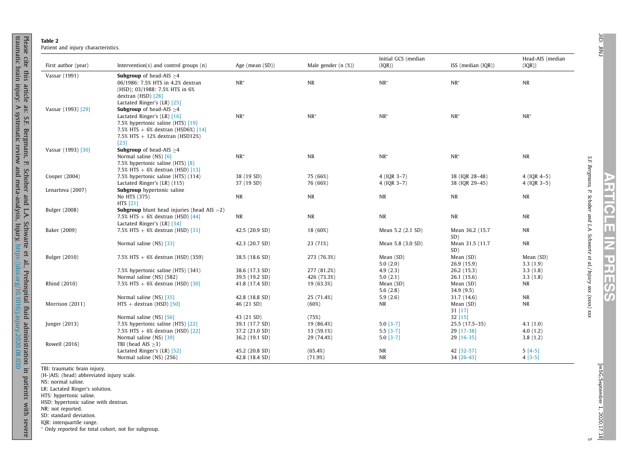| ı |
|---|
|   |
|   |
|   |
|   |
|   |
|   |
|   |
|   |
|   |
|   |
|   |
|   |

JID:

**ARTICLE IN PRESS**

| Table 2                        |  |
|--------------------------------|--|
| Patient and injury characteris |  |

Please

cite this

article

as: S.F.

Bergmans,

<span id="page-4-0"></span>traumatic brain injury: A systematic review and meta-analysis, Injury,

P.

Schober

and L.A.

Schwarte

 $\mathbf{G}$ al.,

Prehospital

fluid

<https://doi.org/10.1016/j.injury.2020.08.030>

administration

in

patients

with

severe

| First author (year)  | Intervention( $s$ ) and control groups $(n)$            | Age (mean (SD)) | Male gender $(n$ $(\%)$ | Initial GCS (median<br>(IQR)) | ISS (median $(IQR)$ ) | Head-AIS (median<br>(IQR)) |
|----------------------|---------------------------------------------------------|-----------------|-------------------------|-------------------------------|-----------------------|----------------------------|
| Vassar (1991)        | <b>Subgroup</b> of head-AIS $\geq$ 4                    |                 |                         |                               |                       |                            |
|                      | 06/1986: 7.5% HTS in 4.2% dextran                       | $NR^*$          | <b>NR</b>               | $NR^*$                        | $NR^*$                | NR                         |
|                      | (HSD); 03/1988; 7.5% HTS in 6%                          |                 |                         |                               |                       |                            |
|                      | dextran (HSD) [28]                                      |                 |                         |                               |                       |                            |
|                      | Lactated Ringer's (LR) [25]                             |                 |                         |                               |                       |                            |
| Vassar (1993) [29]   | <b>Subgroup</b> of head-AIS $\geq$ 4                    |                 |                         |                               |                       |                            |
|                      | Lactated Ringer's (LR) [16]                             | $NR^*$          | $NR^*$                  | $NR^*$                        | $NR^*$                | $NR^*$                     |
|                      | 7.5% hypertonic saline (HTS) [19]                       |                 |                         |                               |                       |                            |
|                      | 7.5% HTS $+ 6%$ dextran (HSD6%) [14]                    |                 |                         |                               |                       |                            |
|                      | 7.5% HTS $+ 12%$ dextran (HSD12%)                       |                 |                         |                               |                       |                            |
|                      | $[23]$                                                  |                 |                         |                               |                       |                            |
| Vassar (1993) [30]   | <b>Subgroup</b> of head-AIS $\geq$ 4                    |                 |                         |                               |                       |                            |
|                      | Normal saline $(NS)$ [6]                                | $NR^*$          | $\rm NR$                | $NR^*$                        | $NR*$                 | <b>NR</b>                  |
|                      | 7.5% hypertonic saline (HTS) [8]                        |                 |                         |                               |                       |                            |
|                      | 7.5% HTS $+ 6%$ dextran (HSD) [13]                      |                 |                         |                               |                       |                            |
| Cooper (2004)        | 7.5% hypertonic saline (HTS) (114)                      | 38 (19 SD)      | 75 (66%)                | 4 (IQR 3-7)                   | 38 (IQR 28-48)        | $4 (IOR 4-5)$              |
|                      | Lactated Ringer's (LR) (115)                            | 37 (19 SD)      | 76 (66%)                | 4 (IQR 3-7)                   | 38 (IQR 29-45)        | 4 (IQR 3-5)                |
| Lenartova (2007)     | Subgroup hypertonic saline                              |                 |                         |                               |                       |                            |
|                      | No HTS (375)                                            | <b>NR</b>       | $\rm NR$                | <b>NR</b>                     | <b>NR</b>             | <b>NR</b>                  |
|                      | HTS [21]                                                |                 |                         |                               |                       |                            |
| <b>Bulger</b> (2008) | <b>Subgroup</b> blunt head injuries (head $AIS > 2$ )   |                 |                         |                               |                       |                            |
|                      | 7.5% HTS $+ 6%$ dextran (HSD) [44]                      | <b>NR</b>       | <b>NR</b>               | $\rm NR$                      | <b>NR</b>             | <b>NR</b>                  |
|                      | Lactated Ringer's (LR) [34]                             |                 |                         |                               |                       |                            |
| Baker (2009)         | 7.5% HTS $+ 6%$ dextran (HSD) [31]                      | 42.5 (20.9 SD)  | 18 (60%)                | Mean 5.2 (2.1 SD)             | Mean 36.2 (15.7       | <b>NR</b>                  |
|                      |                                                         |                 |                         |                               | SD)                   |                            |
|                      | Normal saline (NS) [33]                                 | 42.3 (20.7 SD)  | 23 (71%)                | Mean 5.8 (3.0 SD)             | Mean 31.5 (11.7       | <b>NR</b>                  |
|                      |                                                         |                 |                         |                               | SD)                   |                            |
| <b>Bulger</b> (2010) | 7.5% HTS $+ 6%$ dextran (HSD) (359)                     | 38.5 (18.6 SD)  | 273 (76.3%)             | Mean (SD)                     | Mean (SD)             | Mean (SD)                  |
|                      |                                                         |                 |                         | 5.0(2.0)                      | 26.9 (15.9)           | 3.3(1.9)                   |
|                      | 7.5% hypertonic saline (HTS) (341)                      | 38.6 (17.3 SD)  | 277 (81.2%)             | 4.9(2.3)                      | 26.2(15.3)            | 3.3(1.8)                   |
|                      | Normal saline (NS) (582)                                | 39.5 (19.2 SD)  | 426 (73.3%)             | 5.0(2.1)                      | 26.1(15.6)            | 3.3(1.8)                   |
| Rhind (2010)         | 7.5% HTS $+ 6%$ dextran (HSD) [30]                      | 41.8 (17.4 SD)  | 19 (63.3%)              | Mean (SD)                     | Mean (SD)             | NR                         |
|                      |                                                         |                 |                         | 5.6(2.8)                      | 34.9 (9.5)            |                            |
|                      | Normal saline (NS) [35]                                 | 42.8 (18.8 SD)  | 25 (71.4%)              | 5.9(2.6)                      | 31.7 (14.6)           | <b>NR</b>                  |
| Morrison (2011)      | $HTS + dextran (HSD) [50]$                              | 46 (21 SD)      | (60%)                   | NR                            | Mean (SD)             | NR                         |
|                      |                                                         |                 |                         |                               | $31$ [17]             |                            |
|                      | Normal saline (NS) [56]                                 | 43 (21 SD)      | (75%)                   |                               | 32[15]                |                            |
| Junger (2013)        | 7.5% hypertonic saline (HTS) [22]                       | 39.1 (17.7 SD)  | 19 (86.4%)              | $5.0$ [3-7]                   | $25.5(17.5-35)$       | 4.1(1.0)                   |
|                      | 7.5% HTS $+ 6%$ dextran (HSD) [22]                      | 37.2 (21.0 SD)  | 13 (59.1%)              | $5.5$ [3-7]                   | 29 [17-38]            | 4.0(1.2)                   |
| Rowell (2016)        | Normal saline (NS) [39]                                 | 36.2 (19.1 SD)  | 29 (74.4%)              | $5.0$ [3-7]                   | 29 [16-35]            | 3.8(1.2)                   |
|                      | TBI (head AIS $\geq$ 3)                                 |                 |                         |                               |                       |                            |
|                      |                                                         | 45.2 (20.8 SD)  | (65.4%)                 | <b>NR</b>                     | 42 [32-57]            | $5[4-5]$                   |
|                      | Lactated Ringer's (LR) [52]<br>Normal saline (NS) (256) | 42.8 (18.4 SD)  | (71.9%)                 | <b>NR</b>                     | 34 [26-43]            | $4[3-5]$                   |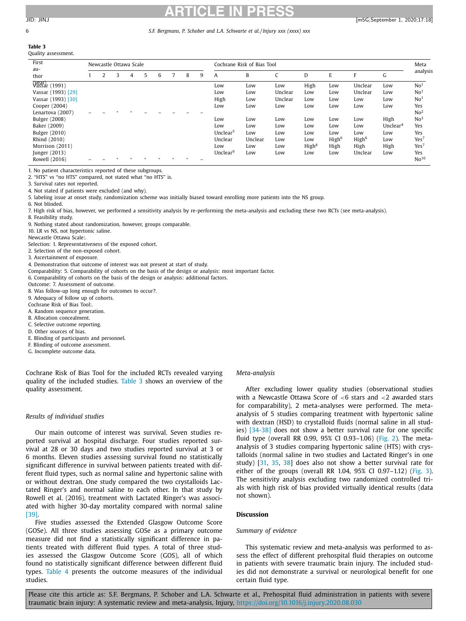# 6 *S.F. Bergmans, P. Schober and L.A. Schwarte et al. / Injury xxx (xxxx) xxx*

**Table 3** Quality assessment.

| First<br>au-            | Newcastle Ottawa Scale |  |   |   |   |   |   | Cochrane Risk of Bias Tool |                      |         |         |                   |                   | Meta              |             |                  |
|-------------------------|------------------------|--|---|---|---|---|---|----------------------------|----------------------|---------|---------|-------------------|-------------------|-------------------|-------------|------------------|
| thor                    |                        |  | 3 | 4 | 5 | 6 | 8 | 9                          | A                    | B       | C       | D                 | E                 | F                 | G           | analysis         |
| (year)<br>Vassar (1991) |                        |  |   |   |   |   |   |                            | Low                  | Low     | Low     | High              | Low               | Unclear           | Low         | No <sup>1</sup>  |
| Vassar (1993) [29]      |                        |  |   |   |   |   |   |                            | Low                  | Low     | Unclear | Low               | Low               | Unclear           | Low         | No <sup>1</sup>  |
| Vassar (1993) [30]      |                        |  |   |   |   |   |   |                            | High                 | Low     | Unclear | Low               | Low               | Low               | Low         | No <sup>1</sup>  |
| Cooper (2004)           |                        |  |   |   |   |   |   |                            | Low                  | Low     | Low     | Low               | Low               | Low               | Low         | Yes              |
| Lenartova (2007)        |                        |  |   |   |   |   |   |                            |                      |         |         |                   |                   |                   |             | No <sup>2</sup>  |
| Bulger (2008)           |                        |  |   |   |   |   |   |                            | Low                  | Low     | Low     | Low               | Low               | Low               | High        | No <sup>3</sup>  |
| Baker (2009)            |                        |  |   |   |   |   |   |                            | Low                  | Low     | Low     | Low               | Low               | Low               | Unclear $4$ | Yes              |
| Bulger (2010)           |                        |  |   |   |   |   |   |                            | Unclear <sup>5</sup> | Low     | Low     | Low               | Low               | Low               | Low         | Yes              |
| Rhind (2010)            |                        |  |   |   |   |   |   |                            | Unclear              | Unclear | Low     | Low               | High <sup>6</sup> | High <sup>6</sup> | Low         | Yes <sup>7</sup> |
| Morrison (2011)         |                        |  |   |   |   |   |   |                            | Low                  | Low     | Low     | High <sup>8</sup> | High              | High              | High        | Yes <sup>7</sup> |
| Junger (2013)           |                        |  |   |   |   |   |   |                            | Unclear <sup>9</sup> | Low     | Low     | Low               | Low               | Unclear           | Low         | Yes              |
| Rowell (2016)           |                        |  |   |   |   |   |   |                            |                      |         |         |                   |                   |                   |             | No <sup>10</sup> |

1. No patient characteristics reported of these subgroups.

2. "HTS" vs "no HTS" compared, not stated what "no HTS" is.

3. Survival rates not reported.

4. Not stated if patients were excluded (and why).

5. labeling issue at onset study, randomization scheme was initially biased toward enrolling more patients into the NS group.

6. Not blinded.

7. High risk of bias, however, we performed a sensitivity analysis by re-performing the meta-analysis and excluding these two RCTs (see meta-analysis).

8. Feasibility study.

9. Nothing stated about randomization, however, groups comparable.

10. LR vs NS, not hypertonic saline.

Newcastle Ottawa Scale:.

Selection: 1. Representativeness of the exposed cohort.

2. Selection of the non-exposed cohort.

3. Ascertainment of exposure.

4. Demonstration that outcome of interest was not present at start of study.

Comparability: 5. Comparability of cohorts on the basis of the design or analysis: most important factor.

6. Comparability of cohorts on the basis of the design or analysis: additional factors.

Outcome: 7. Assessment of outcome.

8. Was follow-up long enough for outcomes to occur?.

9. Adequacy of follow up of cohorts.

Cochrane Risk of Bias Tool:.

A. Random sequence generation.

B. Allocation concealment.

C. Selective outcome reporting.

D. Other sources of bias.

E. Blinding of participants and personnel.

F. Blinding of outcome assessment.

G. Incomplete outcome data.

Cochrane Risk of Bias Tool for the included RCTs revealed varying quality of the included studies. Table 3 shows an overview of the quality assessment.

#### *Results of individual studies*

Our main outcome of interest was survival. Seven studies reported survival at hospital discharge. Four studies reported survival at 28 or 30 days and two studies reported survival at 3 or 6 months. Eleven studies assessing survival found no statistically significant difference in survival between patients treated with different fluid types, such as normal saline and hypertonic saline with or without dextran. One study compared the two crystalloids Lactated Ringer's and normal saline to each other. In that study by Rowell et al. (2016), treatment with Lactated Ringer's was associated with higher 30-day mortality compared with normal saline [\[39\].](#page-10-0)

Five studies assessed the Extended Glasgow Outcome Score (GOSe). All three studies assessing GOSe as a primary outcome measure did not find a statistically significant difference in patients treated with different fluid types. A total of three studies assessed the Glasgow Outcome Score (GOS), all of which found no statistically significant difference between different fluid types. [Table](#page-6-0) 4 presents the outcome measures of the individual studies.

*Meta-analysis*

After excluding lower quality studies (observational studies with a Newcastle Ottawa Score of <6 stars and <2 awarded stars for comparability), 2 meta-analyses were performed. The metaanalysis of 5 studies comparing treatment with hypertonic saline with dextran (HSD) to crystalloid fluids (normal saline in all studies) [\[34-38\]](#page-10-0) does not show a better survival rate for one specific fluid type (overall RR 0.99, 95% CI 0.93–1.06) [\(Fig.](#page-8-0) 2). The metaanalysis of 3 studies comparing hypertonic saline (HTS) with crystalloids (normal saline in two studies and Lactated Ringer's in one study) [\[31,](#page-10-0) [35,](#page-10-0) [38\]](#page-10-0) does also not show a better survival rate for either of the groups (overall RR 1.04, 95% CI 0.97–1.12) [\(Fig.](#page-8-0) 3). The sensitivity analysis excluding two randomized controlled trials with high risk of bias provided virtually identical results (data not shown).

#### **Discussion**

#### *Summary of evidence*

This systematic review and meta-analysis was performed to assess the effect of different prehospital fluid therapies on outcome in patients with severe traumatic brain injury. The included studies did not demonstrate a survival or neurological benefit for one certain fluid type.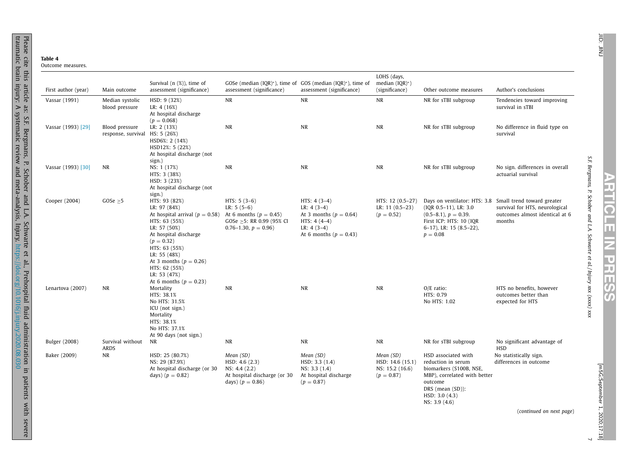| ıc<br>ור<br>n |  |
|---------------|--|

Please

cite this

article

as: S.F.

Bergmans,

<span id="page-6-0"></span>traumatic brain injury: A systematic review and meta-analysis, Injury,

P.

Schober

and L.A.

Schwarte

 $\mathbf{G}$ al.,

Prehospital

fluid

<https://doi.org/10.1016/j.injury.2020.08.030>

administration

in

patients

with

severe

| First author (year)  | Main outcome                                     | Survival $(n$ $(\%)$ , time of<br>assessment (significance)                                                                                                                                                                                                                 | GOSe (median (IQR)*), time of GOS (median (IQR)*), time of<br>assessment (significance)                          | assessment (significance)                                                                                                  | LOHS (days,<br>median $(IQR)^{*}$ )<br>(significance)            | Other outcome measures                                                                                                                                                                | Author's conclusions                                                       |
|----------------------|--------------------------------------------------|-----------------------------------------------------------------------------------------------------------------------------------------------------------------------------------------------------------------------------------------------------------------------------|------------------------------------------------------------------------------------------------------------------|----------------------------------------------------------------------------------------------------------------------------|------------------------------------------------------------------|---------------------------------------------------------------------------------------------------------------------------------------------------------------------------------------|----------------------------------------------------------------------------|
| Vassar (1991)        | Median systolic<br>blood pressure                | HSD: 9 (32%)<br>LR: 4 (16%)<br>At hospital discharge<br>$(p = 0.068)$                                                                                                                                                                                                       | NR                                                                                                               | <b>NR</b>                                                                                                                  | <b>NR</b>                                                        | NR for sTBI subgroup                                                                                                                                                                  | Tendencies toward improving<br>survival in sTBI                            |
| Vassar (1993) [29]   | Blood pressure<br>response, survival HS: 5 (26%) | LR: 2 (13%)<br>HSD6%: 2 (14%)<br>HSD12%: 5 (22%)<br>At hospital discharge (not<br>sign.)                                                                                                                                                                                    | $\rm NR$                                                                                                         | NR                                                                                                                         | NR                                                               | NR for sTBI subgroup                                                                                                                                                                  | No difference in fluid type on<br>survival                                 |
| Vassar (1993) [30]   | NR                                               | NS: 1 (17%)<br>HTS: 3 (38%)<br>HSD: 3 (23%)<br>At hospital discharge (not<br>sign.)                                                                                                                                                                                         | NR                                                                                                               | <b>NR</b>                                                                                                                  | NR                                                               | NR for sTBI subgroup                                                                                                                                                                  | No sign, differences in overall<br>actuarial survival                      |
| Cooper (2004)        | $GOSe \geq 5$                                    | HTS: 93 (82%)<br>LR: 97 (84%)<br>At hospital arrival ( $p = 0.58$ )<br>HTS: 63 (55%)<br>LR: 57 (50%)<br>At hospital discharge<br>$(p = 0.32)$<br>HTS: 63 (55%)<br>LR: 55 (48%)<br>At 3 months ( $p = 0.26$ )<br>HTS: 62 (55%)<br>LR: 53 (47%)<br>At 6 months ( $p = 0.23$ ) | $HTS: 5(3-6)$<br>LR: $5(5-6)$<br>At 6 months ( $p = 0.45$ )<br>GOSe >5: RR 0.99 (95% CI<br>$0.76-1.30, p = 0.96$ | $HTS: 4(3-4)$<br>LR: $4(3-4)$<br>At 3 months ( $p = 0.64$ )<br>$HTS: 4(4-4)$<br>LR: $4(3-4)$<br>At 6 months ( $p = 0.43$ ) | HTS: 12 (0.5-27)<br>LR: $11(0.5-23)$<br>$(p = 0.52)$             | Days on ventilator: HTS: 3.8 Small trend toward greater<br>$( IQR 0.5-11)$ , LR: 3.0<br>$(0.5-8.1), p = 0.39.$<br>First ICP: HTS: 10 (IOR<br>$6-17$ ), LR: 15 (8.5-22),<br>$p = 0.08$ | survival for HTS, neurological<br>outcomes almost identical at 6<br>months |
| Lenartova (2007)     | NR                                               | Mortality<br>HTS: 38.1%<br>No HTS: 31.5%<br>ICU (not sign.)<br>Mortality<br>HTS: 38.1%<br>No HTS: 37.1%<br>At 90 days (not sign.)                                                                                                                                           | NR                                                                                                               | $\rm NR$                                                                                                                   | $\rm NR$                                                         | $O/E$ ratio:<br>HTS: 0.79<br>No HTS: 1.02                                                                                                                                             | HTS no benefits, however<br>outcomes better than<br>expected for HTS       |
| <b>Bulger</b> (2008) | Survival without<br>ARDS                         | NR                                                                                                                                                                                                                                                                          | NR                                                                                                               | <b>NR</b>                                                                                                                  | <b>NR</b>                                                        | NR for sTBI subgroup                                                                                                                                                                  | No significant advantage of<br><b>HSD</b>                                  |
| Baker (2009)         | <b>NR</b>                                        | HSD: 25 (80.7%)<br>NS: 29 (87.9%)<br>At hospital discharge (or 30<br>days) $(p = 0.82)$                                                                                                                                                                                     | Mean (SD)<br>HSD: 4.6(2.3)<br>NS: 4.4 (2.2)<br>At hospital discharge (or 30<br>days) $(p = 0.86)$                | Mean (SD)<br>HSD: 3.3(1.4)<br>NS: 3.3(1.4)<br>At hospital discharge<br>$(p = 0.87)$                                        | Mean (SD)<br>HSD: 14.6 (15.1)<br>NS: 15.2 (16.6)<br>$(p = 0.87)$ | HSD associated with<br>reduction in serum<br>biomarkers (S100B, NSE,<br>MBP), correlated with better<br>outcome<br>DRS (mean (SD)):<br>HSD: 3.0 (4.3)<br>NS: 3.9 (4.6)                | No statistically sign.<br>differences in outcome                           |
|                      |                                                  |                                                                                                                                                                                                                                                                             |                                                                                                                  |                                                                                                                            |                                                                  |                                                                                                                                                                                       | (continued on next page)                                                   |

JID: JINJ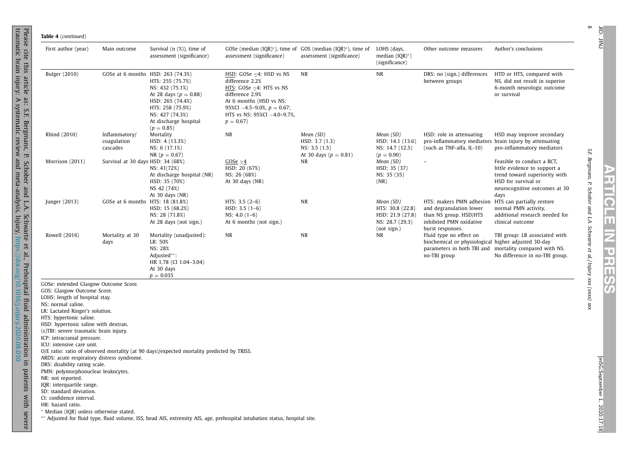| First author (year)                                                                                                                                                                                                                                                                                                                                                                                                                                                                                                                                                                                                                    | Main outcome                             | Survival $(n \, (\%)$ , time of<br>assessment (significance)                                                                                                         | assessment (significance)                                                                                                                                                                                   | GOSe (median $(IQR)^*$ ), time of GOS (median $(IQR)^*$ ), time of<br>assessment (significance) | LOHS (days,<br>median $(IOR)^*)$<br>(significance)                                  | Other outcome measures                                                                                                       | Author's conclusions                                                                                                                                        |
|----------------------------------------------------------------------------------------------------------------------------------------------------------------------------------------------------------------------------------------------------------------------------------------------------------------------------------------------------------------------------------------------------------------------------------------------------------------------------------------------------------------------------------------------------------------------------------------------------------------------------------------|------------------------------------------|----------------------------------------------------------------------------------------------------------------------------------------------------------------------|-------------------------------------------------------------------------------------------------------------------------------------------------------------------------------------------------------------|-------------------------------------------------------------------------------------------------|-------------------------------------------------------------------------------------|------------------------------------------------------------------------------------------------------------------------------|-------------------------------------------------------------------------------------------------------------------------------------------------------------|
| <b>Bulger</b> (2010)                                                                                                                                                                                                                                                                                                                                                                                                                                                                                                                                                                                                                   | GOSe at 6 months HSD: 263 (74.3%)        | HTS: 255 (75.7%)<br>NS: 432 (75.1%)<br>At 28 days ( $p = 0.88$ )<br>HSD: 265 (74.4%)<br>HTS: 258 (75.9%)<br>NS: 427 (74.3%)<br>At discharge hospital<br>$(p = 0.85)$ | HSD: GOSe <4: HSD vs NS<br>difference 2.2%<br>HTS: GOSe $\leq$ 4: HTS vs NS<br>difference 2.9%<br>At 6 months (HSD vs NS:<br>95%CI $-4.5-9.0\%$ , $p = 0.67$ ;<br>HTS vs NS: 95%CI -4.0-9.7%,<br>$p = 0.67$ | NR                                                                                              | <b>NR</b>                                                                           | DRS: no (sign.) differences<br>between groups                                                                                | HTD or HTS, compared with<br>NS, did not result in superior<br>6-month neurologic outcome<br>or survival                                                    |
| Rhind (2010)                                                                                                                                                                                                                                                                                                                                                                                                                                                                                                                                                                                                                           | Inflammatory/<br>coagulation<br>cascades | Mortality<br>HSD: 4 (13.3%)<br>NS: 6 (17.1%)<br>$NR (p = 0.67)$                                                                                                      | <b>NR</b>                                                                                                                                                                                                   | Mean (SD)<br>HSD: 3.7(1.3)<br>NS: 3.5(1.5)<br>At 30 days ( $p = 0.81$ )                         | Mean (SD)<br>HSD: 14.1 (13.6)<br>NS: 14.7 (12.5)<br>$(p = 0.90)$                    | HSD: role in attenuating<br>pro-inflammatory mediators brain injury by attenuating<br>(such as TNF-alfa, IL-10)              | HSD may improve secondary<br>pro-inflammatory mediators                                                                                                     |
| Morrison (2011)                                                                                                                                                                                                                                                                                                                                                                                                                                                                                                                                                                                                                        | Survival at 30 days HSD: 34 (68%)        | NS: 41(72%)<br>At discharge hospital (NR)<br>HSD: 35 (70%)<br>NS 42 (74%)<br>At $30$ days $(NR)$                                                                     | GOSe $\geq$ 4<br>HSD: 20 (67%)<br>NS: 26 (68%)<br>At 30 days $(NR)$                                                                                                                                         | NR                                                                                              | Mean (SD)<br>HSD: 35 (37)<br>NS: 35 (35)<br>(NR)                                    |                                                                                                                              | Feasible to conduct a RCT,<br>little evidence to support a<br>trend toward superiority with<br>HSD for survival or<br>neurocognitive outcomes at 30<br>days |
| Junger (2013)                                                                                                                                                                                                                                                                                                                                                                                                                                                                                                                                                                                                                          | GOSe at 6 months HTS: 18 (81.8%)         | HSD: 15 (68.2%)<br>NS: 28 (71.8%)<br>At 28 days (not sign.)                                                                                                          | HTS: $3.5(2-6)$<br>$HSD: 3.5(1-6)$<br>$NS: 4.0(1-6)$<br>At 6 months (not sign.)                                                                                                                             | NR                                                                                              | Mean (SD)<br>HTS: 30.8 (22.8)<br>HSD: 21.9 (27.8)<br>NS: 28.7 (29.3)<br>(not sign.) | HTS: makers PMN adhesion<br>and degranulation lower<br>than NS group. HSD/HTS<br>inhibited PMN oxidative<br>burst responses. | HTS can partially restore<br>normal PMN activity,<br>additional research needed for<br>clinical outcome                                                     |
| Rowell (2016)                                                                                                                                                                                                                                                                                                                                                                                                                                                                                                                                                                                                                          | Mortality at 30<br>days                  | Mortality (unadjusted):<br>LR: 50%<br>NS: 28%<br>Adjusted**:<br>HR 1.78 (CI 1.04-3.04)<br>At 30 days<br>$p = 0.035$                                                  | <b>NR</b>                                                                                                                                                                                                   | NR                                                                                              | NR                                                                                  | Fluid type no effect on<br>biochemical or physiological higher adjusted 30-day<br>no-TBI group                               | TBI group: LR associated with<br>parameters in both TBI and mortality compared with NS.<br>No difference in no-TBI group.                                   |
| GOSe: extended Glasgow Outcome Score.<br>GOS: Glasgow Outcome Score.<br>LOHS: length of hospital stay.<br>NS: normal saline.<br>LR: Lactated Ringer's solution.<br>HTS: hypertonic saline.<br>HSD: hypertonic saline with dextran.<br>(s)TBI: severe traumatic brain injury.<br>ICP: intracranial pressure.<br>ICU: intensive care unit.<br>ARDS: acute respiratory distress syndrome.<br>DRS: disability rating scale.<br>PMN: polymorphonuclear leukocytes.<br>NR: not reported.<br>IQR: interquartile range.<br>SD: standard deviation.<br>CI: confidence interval.<br>HR: hazard ratio.<br>* Median (IQR) unless otherwise stated. |                                          | O/E ratio: ratio of observed mortality (at 90 days)/expected mortality predicted by TRISS.                                                                           | ** Adjusted for fluid type, fluid volume, ISS, head AIS, extremity AIS, age, prehospital intubation status, hospital site.                                                                                  |                                                                                                 |                                                                                     |                                                                                                                              |                                                                                                                                                             |

Please

cite this

article

as: S.F.

Bergmans,

traumatic brain injury: A systematic review and meta-analysis, Injury,

P.

Schober

and L.A.

Schwarte

 $\mathbf{G}$ al.,

Prehospital

fluid

<https://doi.org/10.1016/j.injury.2020.08.030>

administration

in

patients

with

severe

**ARTICLE**

 $\overline{\mathsf{z}}$ 

**PRESS**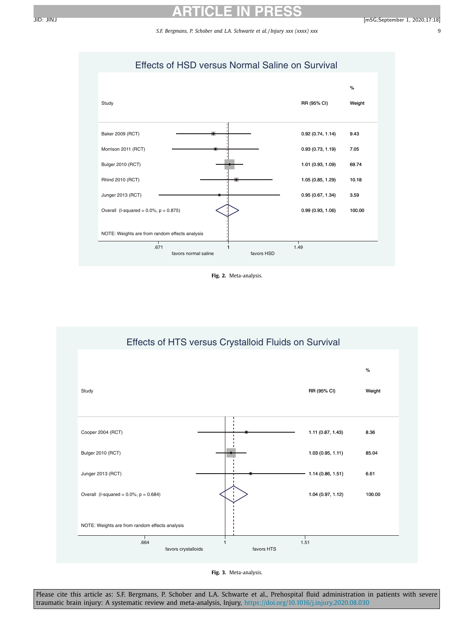*S.F. Bergmans, P. Schober and L.A. Schwarte et al. / Injury xxx (xxxx) xxx* 9

# Effects of HSD versus Normal Saline on Survival

<span id="page-8-0"></span>

**Fig. 2.** Meta-analysis.



**Fig. 3.** Meta-analysis.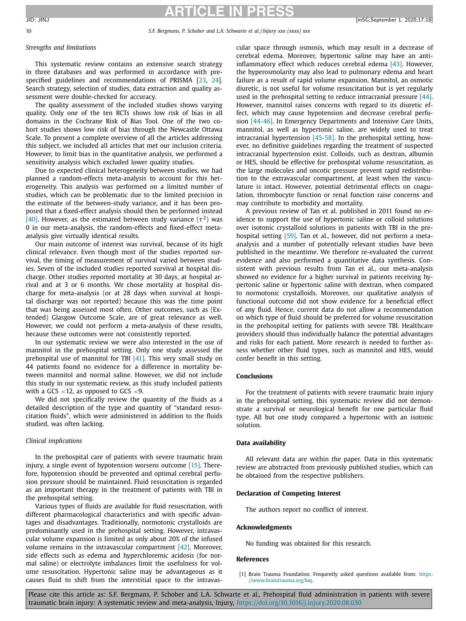# **ARTICLE IN PRESS**

#### <span id="page-9-0"></span>*Strengths and limitations*

This systematic review contains an extensive search strategy in three databases and was performed in accordance with prespecified guidelines and recommendations of PRISMA [\[23,](#page-10-0) [24\]](#page-10-0). Search strategy, selection of studies, data extraction and quality assessment were double-checked for accuracy.

The quality assessment of the included studies shows varying quality. Only one of the ten RCTs shows low risk of bias in all domains in the Cochrane Risk of Bias Tool. One of the two cohort studies shows low risk of bias through the Newcastle Ottawa Scale. To present a complete overview of all the articles addressing this subject, we included all articles that met our inclusion criteria. However, to limit bias in the quantitative analysis, we performed a sensitivity analysis which excluded lower quality studies.

Due to expected clinical heterogeneity between studies, we had planned a random-effects meta-analysis to account for this heterogeneity. This analysis was performed on a limited number of studies, which can be problematic due to the limited precision in the estimate of the between-study variance, and it has been proposed that a fixed-effect analysis should then be performed instead [\[40\].](#page-10-0) However, as the estimated between study variance ( $\tau^2$ ) was 0 in our meta-analysis, the random-effects and fixed-effect metaanalysis give virtually identical results.

Our main outcome of interest was survival, because of its high clinical relevance. Even though most of the studies reported survival, the timing of measurement of survival varied between studies. Seven of the included studies reported survival at hospital discharge. Other studies reported mortality at 30 days, at hospital arrival and at 3 or 6 months. We chose mortality at hospital discharge for meta-analysis (or at 28 days when survival at hospital discharge was not reported) because this was the time point that was being assessed most often. Other outcomes, such as (Extended) Glasgow Outcome Scale, are of great relevance as well. However, we could not perform a meta-analysis of these results, because these outcomes were not consistently reported.

In our systematic review we were also interested in the use of mannitol in the prehospital setting. Only one study assessed the prehospital use of mannitol for TBI [\[41\].](#page-10-0) This very small study on 44 patients found no evidence for a difference in mortality between mannitol and normal saline. However, we did not include this study in our systematic review, as this study included patients with a GCS  $<$ 12, as opposed to GCS  $<$ 9.

We did not specifically review the quantity of the fluids as a detailed description of the type and quantity of "standard resuscitation fluids", which were administered in addition to the fluids studied, was often lacking.

#### *Clinical implications*

In the prehospital care of patients with severe traumatic brain injury, a single event of hypotension worsens outcome [\[15\].](#page-10-0) Therefore, hypotension should be prevented and optimal cerebral perfusion pressure should be maintained. Fluid resuscitation is regarded as an important therapy in the treatment of patients with TBI in the prehospital setting.

Various types of fluids are available for fluid resuscitation, with different pharmacological characteristics and with specific advantages and disadvantages. Traditionally, normotonic crystalloids are predominantly used in the prehospital setting. However, intravascular volume expansion is limited as only about 20% of the infused volume remains in the intravascular compartment [\[42\].](#page-10-0) Moreover, side effects such as edema and hyperchloremic acidosis (for normal saline) or electrolyte imbalances limit the usefulness for volume resuscitation. Hypertonic saline may be advantageous as it causes fluid to shift from the interstitial space to the intravascular space through osmosis, which may result in a decrease of cerebral edema. Moreover, hypertonic saline may have an antiinflammatory effect which reduces cerebral edema  $[43]$ . However, the hyperosmolarity may also lead to pulmonary edema and heart failure as a result of rapid volume expansion. Mannitol, an osmotic diuretic, is not useful for volume resuscitation but is yet regularly used in the prehospital setting to reduce intracranial pressure [\[44\].](#page-10-0) However, mannitol raises concerns with regard to its diuretic effect, which may cause hypotension and decrease cerebral perfusion [\[44-46\].](#page-10-0) In Emergency Departments and Intensive Care Units, mannitol, as well as hypertonic saline, are widely used to treat intracranial hypertension  $[45-58]$ . In the prehospital setting, however, no definitive guidelines regarding the treatment of suspected intracranial hypertension exist. Colloids, such as dextran, albumin or HES, should be effective for prehospital volume resuscitation, as the large molecules and oncotic pressure prevent rapid redistribution to the extravascular compartment, at least when the vasculature is intact. However, potential detrimental effects on coagulation, thrombocyte function or renal function raise concerns and may contribute to morbidity and mortality.

A previous review of Tan et al. published in 2011 found no evidence to support the use of hypertonic saline or colloid solutions over isotonic crystalloid solutions in patients with TBI in the pre-hospital setting [\[59\].](#page-11-0) Tan et al., however, did not perform a metaanalysis and a number of potentially relevant studies have been published in the meantime. We therefore re-evaluated the current evidence and also performed a quantitative data synthesis. Consistent with previous results from Tan et al., our meta-analysis showed no evidence for a higher survival in patients receiving hypertonic saline or hypertonic saline with dextran, when compared to normotonic crystalloids. Moreover, our qualitative analysis of functional outcome did not show evidence for a beneficial effect of any fluid. Hence, current data do not allow a recommendation on which type of fluid should be preferred for volume resuscitation in the prehospital setting for patients with severe TBI. Healthcare providers should thus individually balance the potential advantages and risks for each patient. More research is needed to further assess whether other fluid types, such as mannitol and HES, would confer benefit in this setting.

#### **Conclusions**

For the treatment of patients with severe traumatic brain injury in the prehospital setting, this systematic review did not demonstrate a survival or neurological benefit for one particular fluid type. All but one study compared a hypertonic with an isotonic solution.

#### **Data availability**

All relevant data are within the paper. Data in this systematic review are abstracted from previously published studies, which can be obtained from the respective publishers.

#### **Declaration of Competing Interest**

The authors report no conflict of interest.

#### **Acknowledgments**

No funding was obtained for this research.

#### **References**

[1] Brain Trauma Foundation. Frequently asked questions available from: https: [//www.braintrauma.org/faq.](https://www.braintrauma.org/faq)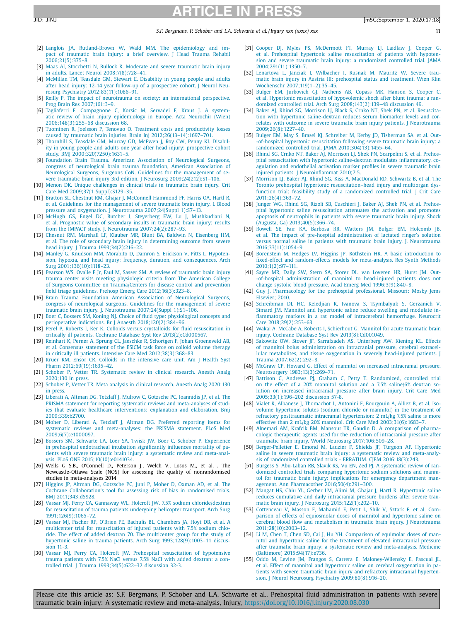#### *S.F. Bergmans, P. Schober and L.A. Schwarte et al. / Injury xxx (xxxx) xxx* 11

- <span id="page-10-0"></span>[2] [Langlois](http://refhub.elsevier.com/S0020-1383(20)30706-3/sbref0002) JA, [Rutland-Brown](http://refhub.elsevier.com/S0020-1383(20)30706-3/sbref0002) W, [Wald](http://refhub.elsevier.com/S0020-1383(20)30706-3/sbref0002) MM. The epidemiology and impact of traumatic brain injury: a brief overview. J Head Trauma Rehabil [2006;21\(5\):375–8.](http://refhub.elsevier.com/S0020-1383(20)30706-3/sbref0002)
- [3] [Maas](http://refhub.elsevier.com/S0020-1383(20)30706-3/sbref0003) AI, [Stocchetti](http://refhub.elsevier.com/S0020-1383(20)30706-3/sbref0003) N, [Bullock](http://refhub.elsevier.com/S0020-1383(20)30706-3/sbref0003) R. Moderate and severe traumatic brain injury in adults. Lancet Neurol [2008;7\(8\):728–41.](http://refhub.elsevier.com/S0020-1383(20)30706-3/sbref0003)
- [4] [McMillan](http://refhub.elsevier.com/S0020-1383(20)30706-3/sbref0004) TM, [Teasdale](http://refhub.elsevier.com/S0020-1383(20)30706-3/sbref0004) GM, [Stewart](http://refhub.elsevier.com/S0020-1383(20)30706-3/sbref0004) E. Disability in young people and adults after head injury: 12-14 year follow-up of a prospective cohort. J Neurol Neurosurg Psychiatry [2012;83\(11\):1086–91.](http://refhub.elsevier.com/S0020-1383(20)30706-3/sbref0004)
- [5] [Reilly](http://refhub.elsevier.com/S0020-1383(20)30706-3/sbref0005) P. The impact of neurotrauma on society: an international perspective. Prog Brain Res [2007;161:3–9.](http://refhub.elsevier.com/S0020-1383(20)30706-3/sbref0005)
- [6] [Tagliaferri](http://refhub.elsevier.com/S0020-1383(20)30706-3/sbref0006) F, [Compagnone](http://refhub.elsevier.com/S0020-1383(20)30706-3/sbref0006) C, [Korsic](http://refhub.elsevier.com/S0020-1383(20)30706-3/sbref0006) M, [Servadei](http://refhub.elsevier.com/S0020-1383(20)30706-3/sbref0006) F, [Kraus J.](http://refhub.elsevier.com/S0020-1383(20)30706-3/sbref0006) A systematic review of brain injury epidemiology in Europe. Acta Neurochir (Wien) [2006;148\(3\):255–68](http://refhub.elsevier.com/S0020-1383(20)30706-3/sbref0006) discussion 68.
- [7] [Tuominen](http://refhub.elsevier.com/S0020-1383(20)30706-3/sbref0007) R, [Joelsson](http://refhub.elsevier.com/S0020-1383(20)30706-3/sbref0007) P, [Tenovuo](http://refhub.elsevier.com/S0020-1383(20)30706-3/sbref0007) O. Treatment costs and productivity losses caused by traumatic brain injuries. Brain Inj [2012;26\(13–14\):1697–701.](http://refhub.elsevier.com/S0020-1383(20)30706-3/sbref0007)
- [8] [Thornhill](http://refhub.elsevier.com/S0020-1383(20)30706-3/sbref0008) S, [Teasdale](http://refhub.elsevier.com/S0020-1383(20)30706-3/sbref0008) GM, [Murray](http://refhub.elsevier.com/S0020-1383(20)30706-3/sbref0008) GD, [McEwen](http://refhub.elsevier.com/S0020-1383(20)30706-3/sbref0008) J, Roy [CW,](http://refhub.elsevier.com/S0020-1383(20)30706-3/sbref0008) [Penny](http://refhub.elsevier.com/S0020-1383(20)30706-3/sbref0008) KI. Disability in young people and adults one year after head injury: prospective cohort study. BMJ [2000;320\(7250\):1631–5.](http://refhub.elsevier.com/S0020-1383(20)30706-3/sbref0008)
- [9] [Foundation](http://refhub.elsevier.com/S0020-1383(20)30706-3/sbref0009) Brain Trauma. American Association of Neurological Surgeons congress of neurological brain trauma foundation, American Association of Neurological Surgeons, Surgeons CoN. Guidelines for the management of severe traumatic brain injury 3rd edition. J Neurosurg [2009;24\(212\):S1–106.](http://refhub.elsevier.com/S0020-1383(20)30706-3/sbref0009)
- [10] [Menon](http://refhub.elsevier.com/S0020-1383(20)30706-3/sbref0010) DK. Unique challenges in clinical trials in traumatic brain injury. Crit Care Med 2009;37(1 [Suppl\):S129–35.](http://refhub.elsevier.com/S0020-1383(20)30706-3/sbref0010)
- [11] [Bratton](http://refhub.elsevier.com/S0020-1383(20)30706-3/sbref0011) SL, [Chestnut](http://refhub.elsevier.com/S0020-1383(20)30706-3/sbref0011) RM, [Ghajar](http://refhub.elsevier.com/S0020-1383(20)30706-3/sbref0011) J, [McConnell](http://refhub.elsevier.com/S0020-1383(20)30706-3/sbref0011) Hammond FF, [Harris](http://refhub.elsevier.com/S0020-1383(20)30706-3/sbref0011) OA, [Hartl](http://refhub.elsevier.com/S0020-1383(20)30706-3/sbref0011) R, et [al.](http://refhub.elsevier.com/S0020-1383(20)30706-3/sbref0011) Guidelines for the management of severe traumatic brain injury. I. Blood pressure and oxygenation. J Neurotrauma [2007;24\(Suppl](http://refhub.elsevier.com/S0020-1383(20)30706-3/sbref0011) 1):S7–13.
- [12] [McHugh](http://refhub.elsevier.com/S0020-1383(20)30706-3/sbref0012) GS, [Engel](http://refhub.elsevier.com/S0020-1383(20)30706-3/sbref0012) DC, [Butcher](http://refhub.elsevier.com/S0020-1383(20)30706-3/sbref0012) I, [Steyerberg](http://refhub.elsevier.com/S0020-1383(20)30706-3/sbref0012) EW, [Lu](http://refhub.elsevier.com/S0020-1383(20)30706-3/sbref0012) J, [Mushkudiani](http://refhub.elsevier.com/S0020-1383(20)30706-3/sbref0012) N, et [al.](http://refhub.elsevier.com/S0020-1383(20)30706-3/sbref0012) Prognostic value of secondary insults in traumatic brain injury: results from the IMPACT study. J. Neurotrauma [2007;24\(2\):287–93.](http://refhub.elsevier.com/S0020-1383(20)30706-3/sbref0012)
- [13] [Chesnut](http://refhub.elsevier.com/S0020-1383(20)30706-3/sbref0013) RM, [Marshall](http://refhub.elsevier.com/S0020-1383(20)30706-3/sbref0013) LF, [Klauber](http://refhub.elsevier.com/S0020-1383(20)30706-3/sbref0013) MR, [Blunt](http://refhub.elsevier.com/S0020-1383(20)30706-3/sbref0013) BA, [Baldwin](http://refhub.elsevier.com/S0020-1383(20)30706-3/sbref0013) N, [Eisenberg](http://refhub.elsevier.com/S0020-1383(20)30706-3/sbref0013) HM, et [al.](http://refhub.elsevier.com/S0020-1383(20)30706-3/sbref0013) The role of secondary brain injury in determining outcome from severe head injury. J Trauma [1993;34\(2\):216–22.](http://refhub.elsevier.com/S0020-1383(20)30706-3/sbref0013)
- [14] [Manley](http://refhub.elsevier.com/S0020-1383(20)30706-3/sbref0014) G, [Knudson](http://refhub.elsevier.com/S0020-1383(20)30706-3/sbref0014) MM, [Morabito](http://refhub.elsevier.com/S0020-1383(20)30706-3/sbref0014) D, [Damron](http://refhub.elsevier.com/S0020-1383(20)30706-3/sbref0014) S, [Erickson](http://refhub.elsevier.com/S0020-1383(20)30706-3/sbref0014) V, [Pitts](http://refhub.elsevier.com/S0020-1383(20)30706-3/sbref0014) L. Hypotension, hypoxia, and head injury: frequency, duration, and consequences. Arch Surg [2001;136\(10\):1118–23.](http://refhub.elsevier.com/S0020-1383(20)30706-3/sbref0014)
- [15] [Pearson](http://refhub.elsevier.com/S0020-1383(20)30706-3/sbref0015) WS, [Ovalle](http://refhub.elsevier.com/S0020-1383(20)30706-3/sbref0015) F Jr, [Faul](http://refhub.elsevier.com/S0020-1383(20)30706-3/sbref0015) M, [Sasser](http://refhub.elsevier.com/S0020-1383(20)30706-3/sbref0015) SM. A review of traumatic brain injury trauma center visits meeting physiologic criteria from The American College of Surgeons Committee on Trauma/Centers for disease control and prevention field triage guidelines. Prehosp Emerg Care [2012;16\(3\):323–8.](http://refhub.elsevier.com/S0020-1383(20)30706-3/sbref0015)
- [16] Brain Trauma Foundation American Association of Neurological Surgeons, congress of neurological surgeons. Guidelines for the management of severe traumatic brain injury. J. Neurotrauma [2007;24\(Suppl](http://refhub.elsevier.com/S0020-1383(20)30706-3/sbref0016) 1):S1–106.
- [17] [Boer](http://refhub.elsevier.com/S0020-1383(20)30706-3/sbref0017) C, [Bossers](http://refhub.elsevier.com/S0020-1383(20)30706-3/sbref0017) SM, [Koning](http://refhub.elsevier.com/S0020-1383(20)30706-3/sbref0017) NJ. Choice of fluid type: physiological concepts and perioperative indications. Br J Anaesth [2018;120\(2\):384–96.](http://refhub.elsevier.com/S0020-1383(20)30706-3/sbref0017)
- [18] [Perel](http://refhub.elsevier.com/S0020-1383(20)30706-3/sbref0018) P, [Roberts](http://refhub.elsevier.com/S0020-1383(20)30706-3/sbref0018) I, [Ker](http://refhub.elsevier.com/S0020-1383(20)30706-3/sbref0018) K. Colloids versus crystalloids for fluid resuscitation in critically ill patients. Cochrane Database Syst Rev [2013\(2\):Cd000567.](http://refhub.elsevier.com/S0020-1383(20)30706-3/sbref0018)
- [19] [Reinhart](http://refhub.elsevier.com/S0020-1383(20)30706-3/sbref0019) K, [Perner](http://refhub.elsevier.com/S0020-1383(20)30706-3/sbref0019) A, [Sprung](http://refhub.elsevier.com/S0020-1383(20)30706-3/sbref0019) CL, [Jaeschke](http://refhub.elsevier.com/S0020-1383(20)30706-3/sbref0019) R, [Schortgen](http://refhub.elsevier.com/S0020-1383(20)30706-3/sbref0019) F, Johan [Groeneveld](http://refhub.elsevier.com/S0020-1383(20)30706-3/sbref0019) AB, et [al.](http://refhub.elsevier.com/S0020-1383(20)30706-3/sbref0019) Consensus statement of the ESICM task force on colloid volume therapy in critically ill patients. Intensive Care Med [2012;38\(3\):368–83.](http://refhub.elsevier.com/S0020-1383(20)30706-3/sbref0019)
- [20] [Kruer](http://refhub.elsevier.com/S0020-1383(20)30706-3/sbref0020) RM, [Ensor](http://refhub.elsevier.com/S0020-1383(20)30706-3/sbref0020) CR. Colloids in the intensive care unit. Am J Health Syst Pharm [2012;69\(19\):1635–42.](http://refhub.elsevier.com/S0020-1383(20)30706-3/sbref0020)
- [21] [Schober](http://refhub.elsevier.com/S0020-1383(20)30706-3/sbref0021) P, [Vetter](http://refhub.elsevier.com/S0020-1383(20)30706-3/sbref0021) TR. [Systematic](http://refhub.elsevier.com/S0020-1383(20)30706-3/sbref0021) review in clinical research. Anesth Analg 2020;130 in press.
- [22] [Schober](http://refhub.elsevier.com/S0020-1383(20)30706-3/sbref0022) P, [Vetter](http://refhub.elsevier.com/S0020-1383(20)30706-3/sbref0022) TR. Meta analysis in clinical research. Anesth Analg [2020;130](http://refhub.elsevier.com/S0020-1383(20)30706-3/sbref0022) in press.
- [23] [Liberati](http://refhub.elsevier.com/S0020-1383(20)30706-3/sbref0023) A, [Altman](http://refhub.elsevier.com/S0020-1383(20)30706-3/sbref0023) DG, [Tetzlaff J,](http://refhub.elsevier.com/S0020-1383(20)30706-3/sbref0023) [Mulrow](http://refhub.elsevier.com/S0020-1383(20)30706-3/sbref0023) C, [Gotzsche](http://refhub.elsevier.com/S0020-1383(20)30706-3/sbref0023) PC, [Ioannidis](http://refhub.elsevier.com/S0020-1383(20)30706-3/sbref0023) JP, et [al.](http://refhub.elsevier.com/S0020-1383(20)30706-3/sbref0023) The PRISMA statement for reporting systematic reviews and meta-analyses of studies that evaluate healthcare interventions: explanation and elaboration. Bmj [2009;339:b2700.](http://refhub.elsevier.com/S0020-1383(20)30706-3/sbref0023)
- [24] [Moher](http://refhub.elsevier.com/S0020-1383(20)30706-3/sbref0024) D, [Liberati](http://refhub.elsevier.com/S0020-1383(20)30706-3/sbref0024) A, [Tetzlaff J,](http://refhub.elsevier.com/S0020-1383(20)30706-3/sbref0024) [Altman](http://refhub.elsevier.com/S0020-1383(20)30706-3/sbref0024) DG. Preferred reporting items for systematic reviews and meta-analyses: the PRISMA statement. PLoS Med [2009;6\(7\):e1000097.](http://refhub.elsevier.com/S0020-1383(20)30706-3/sbref0024)
- [25] [Bossers](http://refhub.elsevier.com/S0020-1383(20)30706-3/sbref0025) SM, [Schwarte](http://refhub.elsevier.com/S0020-1383(20)30706-3/sbref0025) LA, [Loer](http://refhub.elsevier.com/S0020-1383(20)30706-3/sbref0025) SA, [Twisk](http://refhub.elsevier.com/S0020-1383(20)30706-3/sbref0025) JW, [Boer](http://refhub.elsevier.com/S0020-1383(20)30706-3/sbref0025) C, [Schober](http://refhub.elsevier.com/S0020-1383(20)30706-3/sbref0025) P. Experience in prehospital endotracheal intubation significantly influences mortality of patients with severe traumatic brain injury: a systematic review and meta-analysis. PLoS ONE [2015;10\(10\):e0141034.](http://refhub.elsevier.com/S0020-1383(20)30706-3/sbref0025)
- [26] Wells G S.B., O'Connell D., Peterson J., Welch V., Losos M., et al. . The Newcastle-Ottawa Scale (NOS) for assessing the quality of nonrandomised studies in meta-analyses 2014
- [Higgins](http://refhub.elsevier.com/S0020-1383(20)30706-3/sbref0027) JP, [Altman](http://refhub.elsevier.com/S0020-1383(20)30706-3/sbref0027) DG, [Gotzsche](http://refhub.elsevier.com/S0020-1383(20)30706-3/sbref0027) PC, [Juni](http://refhub.elsevier.com/S0020-1383(20)30706-3/sbref0027) P, [Moher](http://refhub.elsevier.com/S0020-1383(20)30706-3/sbref0027) D, [Oxman](http://refhub.elsevier.com/S0020-1383(20)30706-3/sbref0027) AD, et [al.](http://refhub.elsevier.com/S0020-1383(20)30706-3/sbref0027) The Cochrane Collaboration's tool for assessing risk of bias in randomised trials. BMJ [2011;343:d5928.](http://refhub.elsevier.com/S0020-1383(20)30706-3/sbref0027)
- [28] [Vassar](http://refhub.elsevier.com/S0020-1383(20)30706-3/sbref0028) MJ, [Perry](http://refhub.elsevier.com/S0020-1383(20)30706-3/sbref0028) CA, [Gannaway](http://refhub.elsevier.com/S0020-1383(20)30706-3/sbref0028) WL, [Holcroft](http://refhub.elsevier.com/S0020-1383(20)30706-3/sbref0028) JW. 7.5% sodium chloride/dextran for resuscitation of trauma patients undergoing helicopter transport. Arch Surg [1991;126\(9\):1065–72.](http://refhub.elsevier.com/S0020-1383(20)30706-3/sbref0028)
- [29] [Vassar](http://refhub.elsevier.com/S0020-1383(20)30706-3/sbref0029) MJ, [Fischer](http://refhub.elsevier.com/S0020-1383(20)30706-3/sbref0029) RP, [O'Brien](http://refhub.elsevier.com/S0020-1383(20)30706-3/sbref0029) PE, [Bachulis](http://refhub.elsevier.com/S0020-1383(20)30706-3/sbref0029) BL, [Chambers](http://refhub.elsevier.com/S0020-1383(20)30706-3/sbref0029) JA, [Hoyt](http://refhub.elsevier.com/S0020-1383(20)30706-3/sbref0029) DB, et [al.](http://refhub.elsevier.com/S0020-1383(20)30706-3/sbref0029) A multicenter trial for resuscitation of injured patients with 7.5% sodium chloride. The effect of added dextran 70. The multicenter group for the study of hypertonic saline in trauma patients. Arch Surg 1993;128(9):1003-11 discussion 11-3.
- [30] [Vassar](http://refhub.elsevier.com/S0020-1383(20)30706-3/sbref0030) MJ, [Perry](http://refhub.elsevier.com/S0020-1383(20)30706-3/sbref0030) CA, [Holcroft](http://refhub.elsevier.com/S0020-1383(20)30706-3/sbref0030) JW, Prehospital resuscitation of hypotensive trauma patients with 7.5% NaCl versus 7.5% NaCl with added dextran: a controlled trial. J Trauma [1993;34\(5\):622–32](http://refhub.elsevier.com/S0020-1383(20)30706-3/sbref0030) discussion 32-3.
- [31] [Cooper](http://refhub.elsevier.com/S0020-1383(20)30706-3/sbref0031) DJ, [Myles](http://refhub.elsevier.com/S0020-1383(20)30706-3/sbref0031) PS, [McDermott](http://refhub.elsevier.com/S0020-1383(20)30706-3/sbref0031) FT, [Murray](http://refhub.elsevier.com/S0020-1383(20)30706-3/sbref0031) LJ, [Laidlaw](http://refhub.elsevier.com/S0020-1383(20)30706-3/sbref0031) J, [Cooper](http://refhub.elsevier.com/S0020-1383(20)30706-3/sbref0031) G, et [al.](http://refhub.elsevier.com/S0020-1383(20)30706-3/sbref0031) Prehospital hypertonic saline resuscitation of patients with hypotension and severe traumatic brain injury: a randomized controlled trial. JAMA [2004;291\(11\):1350–7.](http://refhub.elsevier.com/S0020-1383(20)30706-3/sbref0031)
- [32] [Lenartova](http://refhub.elsevier.com/S0020-1383(20)30706-3/sbref0032) L, [Janciak](http://refhub.elsevier.com/S0020-1383(20)30706-3/sbref0032) I, [Wilbacher](http://refhub.elsevier.com/S0020-1383(20)30706-3/sbref0032) I, [Rusnak](http://refhub.elsevier.com/S0020-1383(20)30706-3/sbref0032) M, [Mauritz](http://refhub.elsevier.com/S0020-1383(20)30706-3/sbref0032) W. Severe traumatic brain injury in Austria III: prehospital status and treatment. Wien Klin Wochenschr [2007;119\(1–2\):35–45.](http://refhub.elsevier.com/S0020-1383(20)30706-3/sbref0032)
- [33] [Bulger](http://refhub.elsevier.com/S0020-1383(20)30706-3/sbref0033) EM, [Jurkovich](http://refhub.elsevier.com/S0020-1383(20)30706-3/sbref0033) GJ, [Nathens](http://refhub.elsevier.com/S0020-1383(20)30706-3/sbref0033) AB, [Copass](http://refhub.elsevier.com/S0020-1383(20)30706-3/sbref0033) MK, [Hanson](http://refhub.elsevier.com/S0020-1383(20)30706-3/sbref0033) S, [Cooper](http://refhub.elsevier.com/S0020-1383(20)30706-3/sbref0033) C, et [al.](http://refhub.elsevier.com/S0020-1383(20)30706-3/sbref0033) Hypertonic resuscitation of hypovolemic shock after blunt trauma: a randomized controlled trial. Arch Surg [2008;143\(2\):139–48](http://refhub.elsevier.com/S0020-1383(20)30706-3/sbref0033) discussion 49.
- [34] [Baker](http://refhub.elsevier.com/S0020-1383(20)30706-3/sbref0034) AJ, [Rhind](http://refhub.elsevier.com/S0020-1383(20)30706-3/sbref0034) SG, [Morrison](http://refhub.elsevier.com/S0020-1383(20)30706-3/sbref0034) LJ, [Black](http://refhub.elsevier.com/S0020-1383(20)30706-3/sbref0034) S, [Crnko](http://refhub.elsevier.com/S0020-1383(20)30706-3/sbref0034) NT, [Shek](http://refhub.elsevier.com/S0020-1383(20)30706-3/sbref0034) PN, et [al.](http://refhub.elsevier.com/S0020-1383(20)30706-3/sbref0034) Resuscitation with hypertonic saline-dextran reduces serum biomarker levels and correlates with outcome in severe traumatic brain injury patients. J Neurotrauma [2009;26\(8\):1227–40.](http://refhub.elsevier.com/S0020-1383(20)30706-3/sbref0034)
- [35] [Bulger](http://refhub.elsevier.com/S0020-1383(20)30706-3/sbref0035) EM, [May](http://refhub.elsevier.com/S0020-1383(20)30706-3/sbref0035) S, [Brasel](http://refhub.elsevier.com/S0020-1383(20)30706-3/sbref0035) KJ, [Schreiber](http://refhub.elsevier.com/S0020-1383(20)30706-3/sbref0035) M, [Kerby](http://refhub.elsevier.com/S0020-1383(20)30706-3/sbref0035) JD, [Tisherman](http://refhub.elsevier.com/S0020-1383(20)30706-3/sbref0035) SA, et [al.](http://refhub.elsevier.com/S0020-1383(20)30706-3/sbref0035) Out--of-hospital hypertonic resuscitation following severe traumatic brain injury: a randomized controlled trial. JAMA [2010;304\(13\):1455–64.](http://refhub.elsevier.com/S0020-1383(20)30706-3/sbref0035)
- [36] [Rhind](http://refhub.elsevier.com/S0020-1383(20)30706-3/sbref0036) SG, [Crnko](http://refhub.elsevier.com/S0020-1383(20)30706-3/sbref0036) NT, [Baker](http://refhub.elsevier.com/S0020-1383(20)30706-3/sbref0036) AJ, [Morrison](http://refhub.elsevier.com/S0020-1383(20)30706-3/sbref0036) LJ, [Shek](http://refhub.elsevier.com/S0020-1383(20)30706-3/sbref0036) PN, [Scarpelini](http://refhub.elsevier.com/S0020-1383(20)30706-3/sbref0036) S, et [al.](http://refhub.elsevier.com/S0020-1383(20)30706-3/sbref0036) Prehospital resuscitation with hypertonic saline-dextran modulates inflammatory, coagulation and endothelial activation marker profiles in severe traumatic brain injured patients. J [Neuroinflammat](http://refhub.elsevier.com/S0020-1383(20)30706-3/sbref0036) 2010;7:5.
- [37] [Morrison](http://refhub.elsevier.com/S0020-1383(20)30706-3/sbref0037) LJ, [Baker](http://refhub.elsevier.com/S0020-1383(20)30706-3/sbref0037) AJ, [Rhind](http://refhub.elsevier.com/S0020-1383(20)30706-3/sbref0037) SG, [Kiss](http://refhub.elsevier.com/S0020-1383(20)30706-3/sbref0037) A, [MacDonald](http://refhub.elsevier.com/S0020-1383(20)30706-3/sbref0037) RD, [Schwartz](http://refhub.elsevier.com/S0020-1383(20)30706-3/sbref0037) B, et [al.](http://refhub.elsevier.com/S0020-1383(20)30706-3/sbref0037) The Toronto prehospital hypertonic resuscitation–head injury and multiorgan dysfunction trial: feasibility study of a randomized controlled trial. J Crit Care [2011;26\(4\):363–72.](http://refhub.elsevier.com/S0020-1383(20)30706-3/sbref0037)
- [38] [Junger](http://refhub.elsevier.com/S0020-1383(20)30706-3/sbref0038) WG, [Rhind](http://refhub.elsevier.com/S0020-1383(20)30706-3/sbref0038) SG, [Rizoli](http://refhub.elsevier.com/S0020-1383(20)30706-3/sbref0038) SB, [Cuschieri](http://refhub.elsevier.com/S0020-1383(20)30706-3/sbref0038) J, [Baker](http://refhub.elsevier.com/S0020-1383(20)30706-3/sbref0038) AJ, [Shek](http://refhub.elsevier.com/S0020-1383(20)30706-3/sbref0038) PN, et [al.](http://refhub.elsevier.com/S0020-1383(20)30706-3/sbref0038) Prehospital hypertonic saline resuscitation attenuates the activation and promotes apoptosis of neutrophils in patients with severe traumatic brain injury. Shock (Augusta, Ga) [2013;40\(5\):366–74.](http://refhub.elsevier.com/S0020-1383(20)30706-3/sbref0038)
- [39] [Rowell](http://refhub.elsevier.com/S0020-1383(20)30706-3/sbref0039) SE, [Fair](http://refhub.elsevier.com/S0020-1383(20)30706-3/sbref0039) KA, [Barbosa](http://refhub.elsevier.com/S0020-1383(20)30706-3/sbref0039) RR, [Watters](http://refhub.elsevier.com/S0020-1383(20)30706-3/sbref0039) JM, [Bulger](http://refhub.elsevier.com/S0020-1383(20)30706-3/sbref0039) EM, [Holcomb](http://refhub.elsevier.com/S0020-1383(20)30706-3/sbref0039) JB, et [al.](http://refhub.elsevier.com/S0020-1383(20)30706-3/sbref0039) The impact of pre-hospital administration of lactated ringer's solution versus normal saline in patients with traumatic brain injury. J. Neurotrauma [2016;33\(11\):1054–9.](http://refhub.elsevier.com/S0020-1383(20)30706-3/sbref0039)
- [40] [Borenstein](http://refhub.elsevier.com/S0020-1383(20)30706-3/sbref0040) M, [Hedges](http://refhub.elsevier.com/S0020-1383(20)30706-3/sbref0040) LV, [Higgins](http://refhub.elsevier.com/S0020-1383(20)30706-3/sbref0040) JP, [Rothstein](http://refhub.elsevier.com/S0020-1383(20)30706-3/sbref0040) HR. A basic introduction to fixed-effect and random-effects models for meta-analysis. Res Synth Methods [2010;1\(2\):97–111.](http://refhub.elsevier.com/S0020-1383(20)30706-3/sbref0040)
- [41] [Sayre](http://refhub.elsevier.com/S0020-1383(20)30706-3/sbref0041) MR, [Daily](http://refhub.elsevier.com/S0020-1383(20)30706-3/sbref0041) SW, [Stern](http://refhub.elsevier.com/S0020-1383(20)30706-3/sbref0041) SA, [Storer](http://refhub.elsevier.com/S0020-1383(20)30706-3/sbref0041) DL, [van Loveren](http://refhub.elsevier.com/S0020-1383(20)30706-3/sbref0041) HR, [Hurst](http://refhub.elsevier.com/S0020-1383(20)30706-3/sbref0041) JM. Out- -of-hospital administration of mannitol to head-injured patients does not change systolic blood pressure. Acad Emerg Med [1996;3\(9\):840–8.](http://refhub.elsevier.com/S0020-1383(20)30706-3/sbref0041)
- [42] [Guy](http://refhub.elsevier.com/S0020-1383(20)30706-3/sbref0042) J. [Pharmacology](http://refhub.elsevier.com/S0020-1383(20)30706-3/sbref0042) for the prehospital professional. Missouri: Mosby Jems Elsevier; 2010.
- [43] [Schreibman](http://refhub.elsevier.com/S0020-1383(20)30706-3/sbref0043) DL HC, [Keledjian](http://refhub.elsevier.com/S0020-1383(20)30706-3/sbref0043) K, [Ivanova](http://refhub.elsevier.com/S0020-1383(20)30706-3/sbref0043) S, [Tsymbalyuk](http://refhub.elsevier.com/S0020-1383(20)30706-3/sbref0043) S, [Gerzanich](http://refhub.elsevier.com/S0020-1383(20)30706-3/sbref0043) V, [Simard](http://refhub.elsevier.com/S0020-1383(20)30706-3/sbref0043) JM. Mannitol and hypertonic saline reduce swelling and modulate inflammatory markers in a rat model of intracerebral hemorrhage. Neurocrit Care [2018;29\(2\):253–63.](http://refhub.elsevier.com/S0020-1383(20)30706-3/sbref0043)
- [44] [Wakai](http://refhub.elsevier.com/S0020-1383(20)30706-3/sbref0044) A, [McCabe](http://refhub.elsevier.com/S0020-1383(20)30706-3/sbref0044) A, [Roberts](http://refhub.elsevier.com/S0020-1383(20)30706-3/sbref0044) I, [Schierhout](http://refhub.elsevier.com/S0020-1383(20)30706-3/sbref0044) G. Mannitol for acute traumatic brain injury. Cochrane Database Syst Rev [2013\(8\):Cd001049.](http://refhub.elsevier.com/S0020-1383(20)30706-3/sbref0044)
- [45] [Sakowitz](http://refhub.elsevier.com/S0020-1383(20)30706-3/sbref0045) OW, [Stover](http://refhub.elsevier.com/S0020-1383(20)30706-3/sbref0045) JF, [Sarrafzadeh](http://refhub.elsevier.com/S0020-1383(20)30706-3/sbref0045) AS, [Unterberg AW,](http://refhub.elsevier.com/S0020-1383(20)30706-3/sbref0045) [Kiening KL.](http://refhub.elsevier.com/S0020-1383(20)30706-3/sbref0045) Effects of mannitol bolus administration on intracranial pressure, cerebral extracellular metabolites, and tissue oxygenation in severely head-injured patients. J Trauma [2007;62\(2\):292–8.](http://refhub.elsevier.com/S0020-1383(20)30706-3/sbref0045)
- [46] [McGraw](http://refhub.elsevier.com/S0020-1383(20)30706-3/sbref0046) CP, [Howard](http://refhub.elsevier.com/S0020-1383(20)30706-3/sbref0046) G. Effect of mannitol on increased intracranial pressure. Neurosurgery [1983;13\(3\):269–71.](http://refhub.elsevier.com/S0020-1383(20)30706-3/sbref0046)
- [47] [Battison](http://refhub.elsevier.com/S0020-1383(20)30706-3/sbref0047) C, [Andrews](http://refhub.elsevier.com/S0020-1383(20)30706-3/sbref0047) PJ, [Graham](http://refhub.elsevier.com/S0020-1383(20)30706-3/sbref0047) C, [Petty](http://refhub.elsevier.com/S0020-1383(20)30706-3/sbref0047) T. Randomized, controlled trial on the effect of a 20% mannitol solution and a 7.5% saline/6% dextran solution on increased intracranial pressure after brain injury. Crit Care Med [2005;33\(1\):196–202](http://refhub.elsevier.com/S0020-1383(20)30706-3/sbref0047) discussion 57-8.
- [48] [Vialet](http://refhub.elsevier.com/S0020-1383(20)30706-3/sbref0048) R, [Albanese](http://refhub.elsevier.com/S0020-1383(20)30706-3/sbref0048) J, [Thomachot](http://refhub.elsevier.com/S0020-1383(20)30706-3/sbref0048) L, [Antonini](http://refhub.elsevier.com/S0020-1383(20)30706-3/sbref0048) F, [Bourgouin](http://refhub.elsevier.com/S0020-1383(20)30706-3/sbref0048) A, [Alliez](http://refhub.elsevier.com/S0020-1383(20)30706-3/sbref0048) B, et [al.](http://refhub.elsevier.com/S0020-1383(20)30706-3/sbref0048) Isovolume hypertonic solutes (sodium chloride or mannitol) in the treatment of refractory posttraumatic intracranial hypertension: 2 mL/kg 7.5% saline is more effective than 2 mL/kg 20% mannitol. Crit Care Med [2003;31\(6\):1683–7.](http://refhub.elsevier.com/S0020-1383(20)30706-3/sbref0048)
- [49] [Alnemari](http://refhub.elsevier.com/S0020-1383(20)30706-3/sbref0049) AM, [Krafcik](http://refhub.elsevier.com/S0020-1383(20)30706-3/sbref0049) BM, [Mansour](http://refhub.elsevier.com/S0020-1383(20)30706-3/sbref0049) TR, [Gaudin](http://refhub.elsevier.com/S0020-1383(20)30706-3/sbref0049) D. A comparison of pharmacologic therapeutic agents used for the reduction of intracranial pressure after traumatic brain injury. World Neurosurg [2017;106:509–28.](http://refhub.elsevier.com/S0020-1383(20)30706-3/sbref0049)
- [50] [Berger-Pelletier](http://refhub.elsevier.com/S0020-1383(20)30706-3/sbref0050) E, [Emond](http://refhub.elsevier.com/S0020-1383(20)30706-3/sbref0050) M, [Lauzier](http://refhub.elsevier.com/S0020-1383(20)30706-3/sbref0050) F, [Shields](http://refhub.elsevier.com/S0020-1383(20)30706-3/sbref0050) JF, [Turgeon](http://refhub.elsevier.com/S0020-1383(20)30706-3/sbref0050) AF. Hypertonic saline in severe traumatic brain injury: a systematic review and meta-analy-sis of randomized controlled trials - ERRATUM. CJEM [2016;18\(3\):243.](http://refhub.elsevier.com/S0020-1383(20)30706-3/sbref0050)
- [51] [Burgess](http://refhub.elsevier.com/S0020-1383(20)30706-3/sbref0051) S, [Abu-Laban](http://refhub.elsevier.com/S0020-1383(20)30706-3/sbref0051) RB, [Slavik](http://refhub.elsevier.com/S0020-1383(20)30706-3/sbref0051) RS, Vu [EN,](http://refhub.elsevier.com/S0020-1383(20)30706-3/sbref0051) [Zed](http://refhub.elsevier.com/S0020-1383(20)30706-3/sbref0051) PJ. A systematic review of randomized controlled trials comparing hypertonic sodium solutions and mannitol for traumatic brain injury: implications for emergency department management. Ann Pharmacother [2016;50\(4\):291–300.](http://refhub.elsevier.com/S0020-1383(20)30706-3/sbref0051)
- [52] [Mangat](http://refhub.elsevier.com/S0020-1383(20)30706-3/sbref0052) HS, [Chiu](http://refhub.elsevier.com/S0020-1383(20)30706-3/sbref0052) YL, [Gerber](http://refhub.elsevier.com/S0020-1383(20)30706-3/sbref0052) LM, [Alimi](http://refhub.elsevier.com/S0020-1383(20)30706-3/sbref0052) M, [Ghajar](http://refhub.elsevier.com/S0020-1383(20)30706-3/sbref0052) J, [Hartl](http://refhub.elsevier.com/S0020-1383(20)30706-3/sbref0052) R. Hypertonic saline reduces cumulative and daily intracranial pressure burdens after severe traumatic brain injury. J Neurosurg [2015;122\(1\):202–10.](http://refhub.elsevier.com/S0020-1383(20)30706-3/sbref0052)
- [53] [Cottenceau](http://refhub.elsevier.com/S0020-1383(20)30706-3/sbref0053) V, [Masson](http://refhub.elsevier.com/S0020-1383(20)30706-3/sbref0053) F, [Mahamid](http://refhub.elsevier.com/S0020-1383(20)30706-3/sbref0053) E, [Petit](http://refhub.elsevier.com/S0020-1383(20)30706-3/sbref0053) L, [Shik](http://refhub.elsevier.com/S0020-1383(20)30706-3/sbref0053) V, [Sztark](http://refhub.elsevier.com/S0020-1383(20)30706-3/sbref0053) F, et [al.](http://refhub.elsevier.com/S0020-1383(20)30706-3/sbref0053) Comparison of effects of equiosmolar doses of mannitol and hypertonic saline on cerebral blood flow and metabolism in traumatic brain injury. J Neurotrauma [2011;28\(10\):2003–12.](http://refhub.elsevier.com/S0020-1383(20)30706-3/sbref0053)
- [54] Li [M,](http://refhub.elsevier.com/S0020-1383(20)30706-3/sbref0054) [Chen](http://refhub.elsevier.com/S0020-1383(20)30706-3/sbref0054) T, Chen SD, [Cai](http://refhub.elsevier.com/S0020-1383(20)30706-3/sbref0054) J, Hu [YH.](http://refhub.elsevier.com/S0020-1383(20)30706-3/sbref0054) Comparison of equimolar doses of mannitol and hypertonic saline for the treatment of elevated intracranial pressure after traumatic brain injury: a systematic review and meta-analysis. Medicine (Baltimore) [2015;94\(17\):e736.](http://refhub.elsevier.com/S0020-1383(20)30706-3/sbref0054)
- [55] [Oddo](http://refhub.elsevier.com/S0020-1383(20)30706-3/sbref0055) M, [Levine](http://refhub.elsevier.com/S0020-1383(20)30706-3/sbref0055) JM, [Frangos](http://refhub.elsevier.com/S0020-1383(20)30706-3/sbref0055) S, [Carrera](http://refhub.elsevier.com/S0020-1383(20)30706-3/sbref0055) E, [Maloney-Wilensky](http://refhub.elsevier.com/S0020-1383(20)30706-3/sbref0055) E, [Pascual](http://refhub.elsevier.com/S0020-1383(20)30706-3/sbref0055) JL, et [al.](http://refhub.elsevier.com/S0020-1383(20)30706-3/sbref0055) Effect of mannitol and hypertonic saline on cerebral oxygenation in patients with severe traumatic brain injury and refractory intracranial hypertension. J Neurol Neurosurg Psychiatry [2009;80\(8\):916–20.](http://refhub.elsevier.com/S0020-1383(20)30706-3/sbref0055)